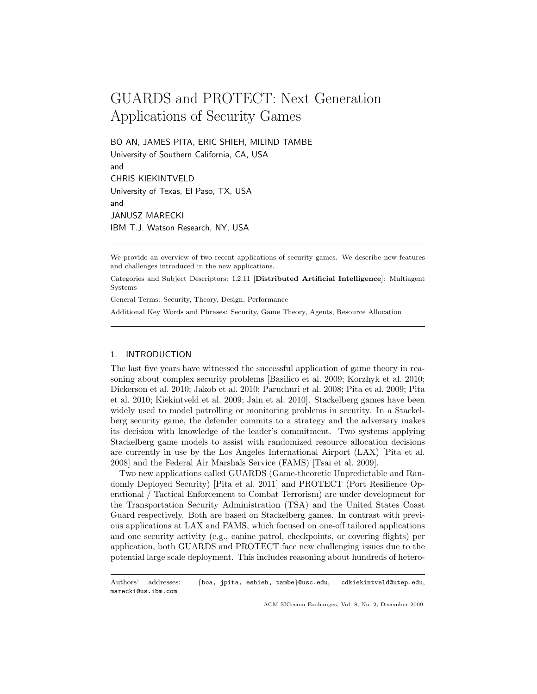# GUARDS and PROTECT: Next Generation Applications of Security Games

BO AN, JAMES PITA, ERIC SHIEH, MILIND TAMBE University of Southern California, CA, USA and CHRIS KIEKINTVELD University of Texas, El Paso, TX, USA and JANUSZ MARECKI IBM T.J. Watson Research, NY, USA

We provide an overview of two recent applications of security games. We describe new features and challenges introduced in the new applications.

Categories and Subject Descriptors: I.2.11 [**Distributed Artificial Intelligence**]: Multiagent Systems

General Terms: Security, Theory, Design, Performance Additional Key Words and Phrases: Security, Game Theory, Agents, Resource Allocation

## 1. INTRODUCTION

The last five years have witnessed the successful application of game theory in reasoning about complex security problems [Basilico et al. 2009; Korzhyk et al. 2010; Dickerson et al. 2010; Jakob et al. 2010; Paruchuri et al. 2008; Pita et al. 2009; Pita et al. 2010; Kiekintveld et al. 2009; Jain et al. 2010]. Stackelberg games have been widely used to model patrolling or monitoring problems in security. In a Stackelberg security game, the defender commits to a strategy and the adversary makes its decision with knowledge of the leader's commitment. Two systems applying Stackelberg game models to assist with randomized resource allocation decisions are currently in use by the Los Angeles International Airport (LAX) [Pita et al. 2008] and the Federal Air Marshals Service (FAMS) [Tsai et al. 2009].

Two new applications called GUARDS (Game-theoretic Unpredictable and Randomly Deployed Security) [Pita et al. 2011] and PROTECT (Port Resilience Operational / Tactical Enforcement to Combat Terrorism) are under development for the Transportation Security Administration (TSA) and the United States Coast Guard respectively. Both are based on Stackelberg games. In contrast with previous applications at LAX and FAMS, which focused on one-off tailored applications and one security activity (e.g., canine patrol, checkpoints, or covering flights) per application, both GUARDS and PROTECT face new challenging issues due to the potential large scale deployment. This includes reasoning about hundreds of hetero-

ACM SIGecom Exchanges, Vol. 8, No. 2, December 2009.

Authors' addresses: *{*boa, jpita, eshieh, tambe*}*@usc.edu, cdkiekintveld@utep.edu, marecki@us.ibm.com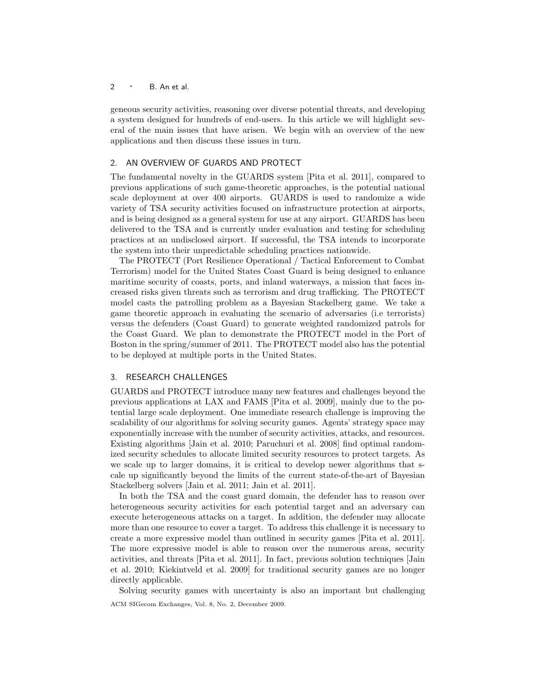# <sup>2</sup> *·* B. An et al.

geneous security activities, reasoning over diverse potential threats, and developing a system designed for hundreds of end-users. In this article we will highlight several of the main issues that have arisen. We begin with an overview of the new applications and then discuss these issues in turn.

#### 2. AN OVERVIEW OF GUARDS AND PROTECT

The fundamental novelty in the GUARDS system [Pita et al. 2011], compared to previous applications of such game-theoretic approaches, is the potential national scale deployment at over 400 airports. GUARDS is used to randomize a wide variety of TSA security activities focused on infrastructure protection at airports, and is being designed as a general system for use at any airport. GUARDS has been delivered to the TSA and is currently under evaluation and testing for scheduling practices at an undisclosed airport. If successful, the TSA intends to incorporate the system into their unpredictable scheduling practices nationwide.

The PROTECT (Port Resilience Operational / Tactical Enforcement to Combat Terrorism) model for the United States Coast Guard is being designed to enhance maritime security of coasts, ports, and inland waterways, a mission that faces increased risks given threats such as terrorism and drug trafficking. The PROTECT model casts the patrolling problem as a Bayesian Stackelberg game. We take a game theoretic approach in evaluating the scenario of adversaries (i.e terrorists) versus the defenders (Coast Guard) to generate weighted randomized patrols for the Coast Guard. We plan to demonstrate the PROTECT model in the Port of Boston in the spring/summer of 2011. The PROTECT model also has the potential to be deployed at multiple ports in the United States.

## 3. RESEARCH CHALLENGES

GUARDS and PROTECT introduce many new features and challenges beyond the previous applications at LAX and FAMS [Pita et al. 2009], mainly due to the potential large scale deployment. One immediate research challenge is improving the scalability of our algorithms for solving security games. Agents' strategy space may exponentially increase with the number of security activities, attacks, and resources. Existing algorithms [Jain et al. 2010; Paruchuri et al. 2008] find optimal randomized security schedules to allocate limited security resources to protect targets. As we scale up to larger domains, it is critical to develop newer algorithms that scale up significantly beyond the limits of the current state-of-the-art of Bayesian Stackelberg solvers [Jain et al. 2011; Jain et al. 2011].

In both the TSA and the coast guard domain, the defender has to reason over heterogeneous security activities for each potential target and an adversary can execute heterogeneous attacks on a target. In addition, the defender may allocate more than one resource to cover a target. To address this challenge it is necessary to create a more expressive model than outlined in security games [Pita et al. 2011]. The more expressive model is able to reason over the numerous areas, security activities, and threats [Pita et al. 2011]. In fact, previous solution techniques [Jain et al. 2010; Kiekintveld et al. 2009] for traditional security games are no longer directly applicable.

Solving security games with uncertainty is also an important but challenging ACM SIGecom Exchanges, Vol. 8, No. 2, December 2009.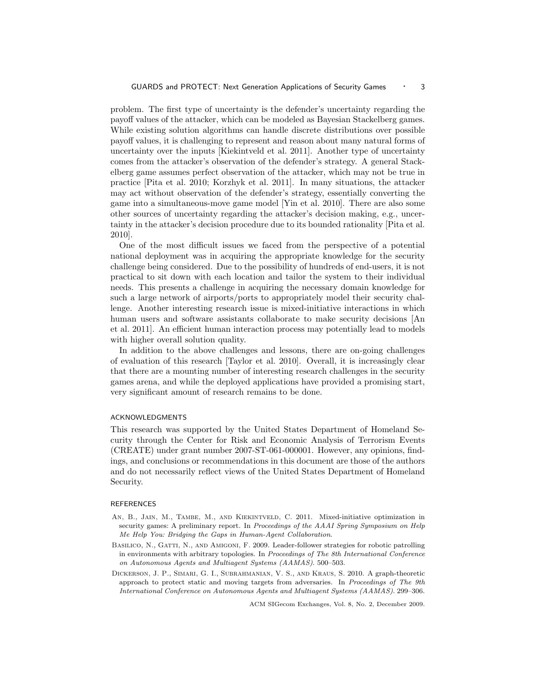problem. The first type of uncertainty is the defender's uncertainty regarding the payoff values of the attacker, which can be modeled as Bayesian Stackelberg games. While existing solution algorithms can handle discrete distributions over possible payoff values, it is challenging to represent and reason about many natural forms of uncertainty over the inputs [Kiekintveld et al. 2011]. Another type of uncertainty comes from the attacker's observation of the defender's strategy. A general Stackelberg game assumes perfect observation of the attacker, which may not be true in practice [Pita et al. 2010; Korzhyk et al. 2011]. In many situations, the attacker may act without observation of the defender's strategy, essentially converting the game into a simultaneous-move game model [Yin et al. 2010]. There are also some other sources of uncertainty regarding the attacker's decision making, e.g., uncertainty in the attacker's decision procedure due to its bounded rationality [Pita et al. 2010].

One of the most difficult issues we faced from the perspective of a potential national deployment was in acquiring the appropriate knowledge for the security challenge being considered. Due to the possibility of hundreds of end-users, it is not practical to sit down with each location and tailor the system to their individual needs. This presents a challenge in acquiring the necessary domain knowledge for such a large network of airports/ports to appropriately model their security challenge. Another interesting research issue is mixed-initiative interactions in which human users and software assistants collaborate to make security decisions [An et al. 2011]. An efficient human interaction process may potentially lead to models with higher overall solution quality.

In addition to the above challenges and lessons, there are on-going challenges of evaluation of this research [Taylor et al. 2010]. Overall, it is increasingly clear that there are a mounting number of interesting research challenges in the security games arena, and while the deployed applications have provided a promising start, very significant amount of research remains to be done.

#### ACKNOWLEDGMENTS

This research was supported by the United States Department of Homeland Security through the Center for Risk and Economic Analysis of Terrorism Events (CREATE) under grant number 2007-ST-061-000001. However, any opinions, findings, and conclusions or recommendations in this document are those of the authors and do not necessarily reflect views of the United States Department of Homeland Security.

#### REFERENCES

- AN, B., JAIN, M., TAMBE, M., AND KIEKINTVELD, C. 2011. Mixed-initiative optimization in security games: A preliminary report. In *Proceedings of the AAAI Spring Symposium on Help Me Help You: Bridging the Gaps in Human-Agent Collaboration*.
- BASILICO, N., GATTI, N., AND AMIGONI, F. 2009. Leader-follower strategies for robotic patrolling in environments with arbitrary topologies. In *Proceedings of The 8th International Conference on Autonomous Agents and Multiagent Systems (AAMAS)*. 500–503.
- Dickerson, J. P., Simari, G. I., Subrahmanian, V. S., and Kraus, S. 2010. A graph-theoretic approach to protect static and moving targets from adversaries. In *Proceedings of The 9th International Conference on Autonomous Agents and Multiagent Systems (AAMAS)*. 299–306.

ACM SIGecom Exchanges, Vol. 8, No. 2, December 2009.